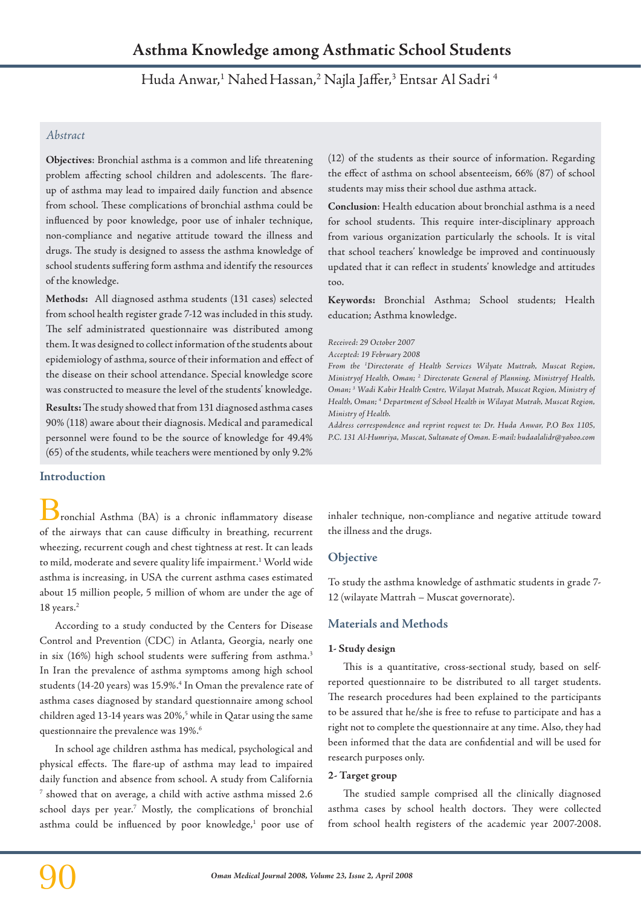Huda Anwar,<sup>1</sup> Nahed Hassan,<sup>2</sup> Najla Jaffer,<sup>3</sup> Entsar Al Sadri <sup>4</sup>

# *Abstract*

**Objectives**: Bronchial asthma is a common and life threatening problem affecting school children and adolescents. The flareup of asthma may lead to impaired daily function and absence from school. These complications of bronchial asthma could be influenced by poor knowledge, poor use of inhaler technique, non-compliance and negative attitude toward the illness and drugs. The study is designed to assess the asthma knowledge of school students suffering form asthma and identify the resources of the knowledge.

**Methods:** All diagnosed asthma students (131 cases) selected from school health register grade 7-12 was included in this study. The self administrated questionnaire was distributed among them. It was designed to collect information of the students about epidemiology of asthma, source of their information and effect of the disease on their school attendance. Special knowledge score was constructed to measure the level of the students' knowledge.

**Results:** The study showed that from 131 diagnosed asthma cases 90% (118) aware about their diagnosis. Medical and paramedical personnel were found to be the source of knowledge for 49.4% (65) of the students, while teachers were mentioned by only 9.2%

**Introduction**

ronchial Asthma (BA) is a chronic inflammatory disease of the airways that can cause difficulty in breathing, recurrent wheezing, recurrent cough and chest tightness at rest. It can leads to mild, moderate and severe quality life impairment.1 World wide asthma is increasing, in USA the current asthma cases estimated about 15 million people, 5 million of whom are under the age of 18 years.<sup>2</sup>

According to a study conducted by the Centers for Disease Control and Prevention (CDC) in Atlanta, Georgia, nearly one in six (16%) high school students were suffering from asthma.<sup>3</sup> In Iran the prevalence of asthma symptoms among high school students (14-20 years) was 15.9%.<sup>4</sup> In Oman the prevalence rate of asthma cases diagnosed by standard questionnaire among school children aged 13-14 years was 20%,<sup>5</sup> while in Qatar using the same questionnaire the prevalence was 19%.6

In school age children asthma has medical, psychological and physical effects. The flare-up of asthma may lead to impaired daily function and absence from school. A study from California 7 showed that on average, a child with active asthma missed 2.6 school days per year.7 Mostly, the complications of bronchial asthma could be influenced by poor knowledge,<sup>1</sup> poor use of (12) of the students as their source of information. Regarding the effect of asthma on school absenteeism, 66% (87) of school students may miss their school due asthma attack.

**Conclusion**: Health education about bronchial asthma is a need for school students. This require inter-disciplinary approach from various organization particularly the schools. It is vital that school teachers' knowledge be improved and continuously updated that it can reflect in students' knowledge and attitudes too.

**Keywords:** Bronchial Asthma; School students; Health education; Asthma knowledge.

*Received: 29 October 2007*

*Accepted: 19 February 2008*

*From the 1 Directorate of Health Services Wilyate Muttrah, Muscat Region, Ministryof Health, Oman; 2 Directorate General of Planning, Ministryof Health, Oman; 3 Wadi Kabir Health Centre, Wilayat Mutrah, Muscat Region, Ministry of Health, Oman; 4 Department of School Health in Wilayat Mutrah, Muscat Region, Ministry of Health.*

*Address correspondence and reprint request to: Dr. Huda Anwar, P.O Box 1105, P.C. 131 Al-Humriya, Muscat, Sultanate of Oman. E-mail: hudaalalidr@yahoo.com*

inhaler technique, non-compliance and negative attitude toward the illness and the drugs.

# **Objective**

To study the asthma knowledge of asthmatic students in grade 7- 12 (wilayate Mattrah – Muscat governorate).

# **Materials and Methods**

### **1- Study design**

This is a quantitative, cross-sectional study, based on selfreported questionnaire to be distributed to all target students. The research procedures had been explained to the participants to be assured that he/she is free to refuse to participate and has a right not to complete the questionnaire at any time. Also, they had been informed that the data are confidential and will be used for research purposes only.

### **2- Target group**

The studied sample comprised all the clinically diagnosed asthma cases by school health doctors. They were collected from school health registers of the academic year 2007-2008.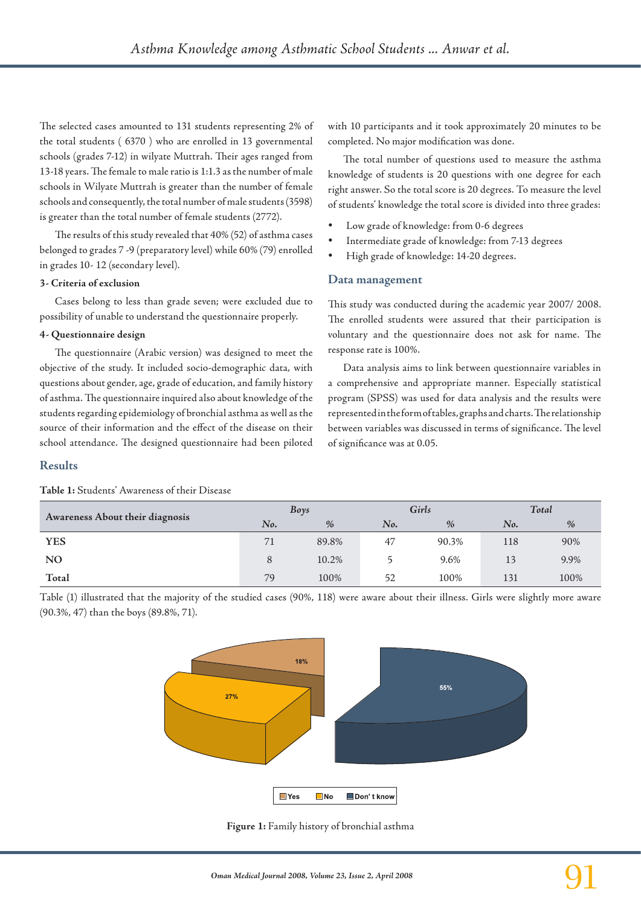The selected cases amounted to 131 students representing 2% of the total students ( 6370 ) who are enrolled in 13 governmental schools (grades 7-12) in wilyate Muttrah. Their ages ranged from 13-18 years. The female to male ratio is 1:1.3 as the number of male schools in Wilyate Muttrah is greater than the number of female schools and consequently, the total number of male students (3598) is greater than the total number of female students (2772).

The results of this study revealed that 40% (52) of asthma cases belonged to grades 7 -9 (preparatory level) while 60% (79) enrolled in grades 10- 12 (secondary level).

#### **3- Criteria of exclusion**

Cases belong to less than grade seven; were excluded due to possibility of unable to understand the questionnaire properly.

#### **4- Questionnaire design**

The questionnaire (Arabic version) was designed to meet the objective of the study. It included socio-demographic data, with questions about gender, age, grade of education, and family history of asthma. The questionnaire inquired also about knowledge of the students regarding epidemiology of bronchial asthma as well as the source of their information and the effect of the disease on their school attendance. The designed questionnaire had been piloted with 10 participants and it took approximately 20 minutes to be completed. No major modification was done.

The total number of questions used to measure the asthma knowledge of students is 20 questions with one degree for each right answer. So the total score is 20 degrees. To measure the level of students' knowledge the total score is divided into three grades:

- Low grade of knowledge: from 0-6 degrees
- Intermediate grade of knowledge: from 7-13 degrees
- High grade of knowledge: 14-20 degrees.

### **Data management**

This study was conducted during the academic year 2007/ 2008. The enrolled students were assured that their participation is voluntary and the questionnaire does not ask for name. The response rate is 100%.

Data analysis aims to link between questionnaire variables in a comprehensive and appropriate manner. Especially statistical program (SPSS) was used for data analysis and the results were represented in the form of tables, graphs and charts. The relationship between variables was discussed in terms of significance. The level of significance was at 0.05.

### **Results**

#### **Table 1:** Students' Awareness of their Disease

| Awareness About their diagnosis |     | Boys  |     | Girls | Total |      |  |
|---------------------------------|-----|-------|-----|-------|-------|------|--|
|                                 | No. | $\%$  | No. | $\%$  | No.   | $\%$ |  |
| <b>YES</b>                      | 71  | 89.8% | 47  | 90.3% | 118   | 90%  |  |
| NO.                             | 8   | 10.2% |     | 9.6%  | 13    | 9.9% |  |
| Total                           | 79  | 100%  | 52  | 100%  | 131   | 100% |  |

Table (1) illustrated that the majority of the studied cases (90%, 118) were aware about their illness. Girls were slightly more aware (90.3%, 47) than the boys (89.8%, 71).



**Figure 1:** Family history of bronchial asthma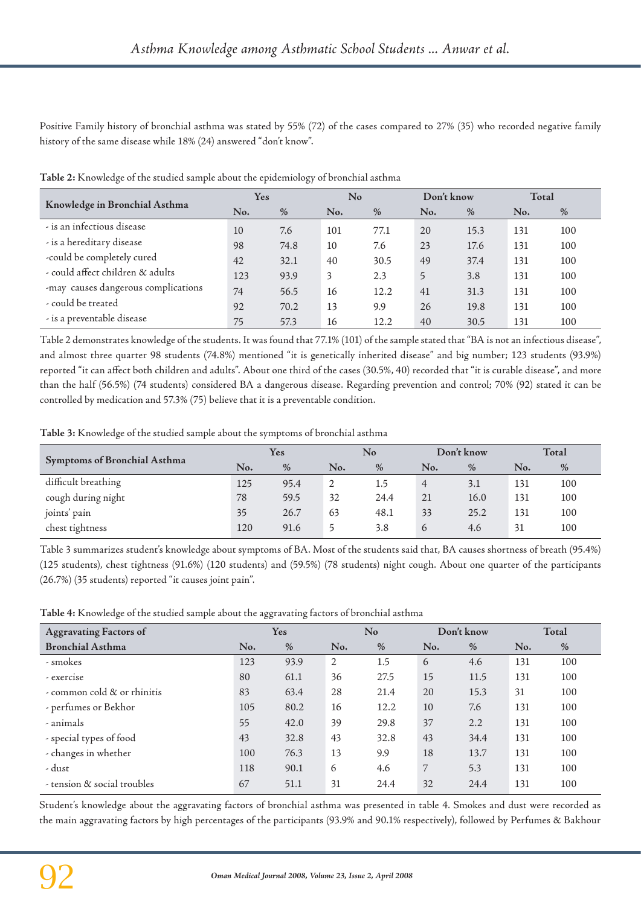Positive Family history of bronchial asthma was stated by 55% (72) of the cases compared to 27% (35) who recorded negative family history of the same disease while 18% (24) answered "don't know".

|                                     | Yes |      | No  |      | Don't know |      | Total |      |
|-------------------------------------|-----|------|-----|------|------------|------|-------|------|
| Knowledge in Bronchial Asthma       | No. | $\%$ | No. | $\%$ | No.        | $\%$ | No.   | $\%$ |
| - is an infectious disease          | 10  | 7.6  | 101 | 77.1 | 20         | 15.3 | 131   | 100  |
| - is a hereditary disease           | 98  | 74.8 | 10  | 7.6  | 23         | 17.6 | 131   | 100  |
| -could be completely cured          | 42  | 32.1 | 40  | 30.5 | 49         | 37.4 | 131   | 100  |
| - could affect children & adults    | 123 | 93.9 | 3   | 2.3  | 5          | 3.8  | 131   | 100  |
| -may causes dangerous complications | 74  | 56.5 | 16  | 12.2 | 41         | 31.3 | 131   | 100  |
| - could be treated                  | 92  | 70.2 | 13  | 9.9  | 26         | 19.8 | 131   | 100  |
| - is a preventable disease          | 75  | 57.3 | 16  | 12.2 | 40         | 30.5 | 131   | 100  |

**Table 2:** Knowledge of the studied sample about the epidemiology of bronchial asthma

Table 2 demonstrates knowledge of the students. It was found that 77.1% (101) of the sample stated that "BA is not an infectious disease", and almost three quarter 98 students (74.8%) mentioned "it is genetically inherited disease" and big number; 123 students (93.9%) reported "it can affect both children and adults". About one third of the cases (30.5%, 40) recorded that "it is curable disease", and more than the half (56.5%) (74 students) considered BA a dangerous disease. Regarding prevention and control; 70% (92) stated it can be controlled by medication and 57.3% (75) believe that it is a preventable condition.

**Table 3:** Knowledge of the studied sample about the symptoms of bronchial asthma

|                                     | Yes |      | No  |      | Don't know     |      | Total |      |
|-------------------------------------|-----|------|-----|------|----------------|------|-------|------|
| <b>Symptoms of Bronchial Asthma</b> | No. | $\%$ | No. | $\%$ | No.            | $\%$ | No.   | $\%$ |
| difficult breathing                 | 125 | 95.4 | 2   | 1.5  | $\overline{4}$ | 3.1  | 131   | 100  |
| cough during night                  | 78  | 59.5 | 32  | 24.4 | 21             | 16.0 | 131   | 100  |
| joints' pain                        | 35  | 26.7 | 63  | 48.1 | 33             | 25.2 | 131   | 100  |
| chest tightness                     | 120 | 91.6 | כ   | 3.8  | 6              | 4.6  | 31    | 100  |

Table 3 summarizes student's knowledge about symptoms of BA. Most of the students said that, BA causes shortness of breath (95.4%) (125 students), chest tightness (91.6%) (120 students) and (59.5%) (78 students) night cough. About one quarter of the participants (26.7%) (35 students) reported "it causes joint pain".

**Table 4:** Knowledge of the studied sample about the aggravating factors of bronchial asthma

| <b>Aggravating Factors of</b> | Yes |      | N <sub>o</sub> |      | Don't know |      | Total |     |
|-------------------------------|-----|------|----------------|------|------------|------|-------|-----|
| <b>Bronchial Asthma</b>       | No. | $\%$ | No.            | $\%$ | No.        | $\%$ | No.   | %   |
| - smokes                      | 123 | 93.9 | 2              | 1.5  | 6          | 4.6  | 131   | 100 |
| - exercise                    | 80  | 61.1 | 36             | 27.5 | 15         | 11.5 | 131   | 100 |
| - common cold & or rhinitis   | 83  | 63.4 | 28             | 21.4 | 20         | 15.3 | 31    | 100 |
| - perfumes or Bekhor          | 105 | 80.2 | 16             | 12.2 | 10         | 7.6  | 131   | 100 |
| - animals                     | 55  | 42.0 | 39             | 29.8 | 37         | 2.2  | 131   | 100 |
| - special types of food       | 43  | 32.8 | 43             | 32.8 | 43         | 34.4 | 131   | 100 |
| - changes in whether          | 100 | 76.3 | 13             | 9.9  | 18         | 13.7 | 131   | 100 |
| - dust                        | 118 | 90.1 | 6              | 4.6  | 7          | 5.3  | 131   | 100 |
| - tension & social troubles   | 67  | 51.1 | 31             | 24.4 | 32         | 24.4 | 131   | 100 |

Student's knowledge about the aggravating factors of bronchial asthma was presented in table 4. Smokes and dust were recorded as the main aggravating factors by high percentages of the participants (93.9% and 90.1% respectively), followed by Perfumes & Bakhour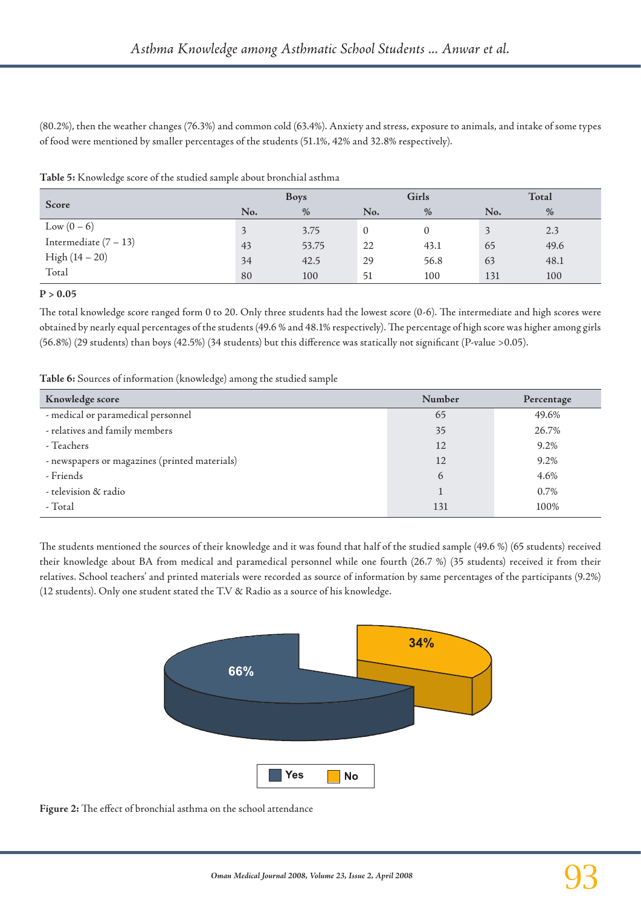(80.2%), then the weather changes (76.3%) and common cold (63.4%). Anxiety and stress, exposure to animals, and intake of some types of food were mentioned by smaller percentages of the students (51.1%, 42% and 32.8% respectively).

|  |  |  |  |  |  | Table 5: Knowledge score of the studied sample about bronchial asthma |  |
|--|--|--|--|--|--|-----------------------------------------------------------------------|--|
|  |  |  |  |  |  |                                                                       |  |

| Score                   |     | <b>Boys</b>   |     | Girls | Total |      |  |
|-------------------------|-----|---------------|-----|-------|-------|------|--|
|                         | No. | $\frac{0}{0}$ | No. | $\%$  | No.   | $\%$ |  |
| Low $(0 - 6)$           |     | 3.75          | 0   |       |       | 2.3  |  |
| Intermediate $(7 - 13)$ | 43  | 53.75         | 22  | 43.1  | 65    | 49.6 |  |
| $High (14 - 20)$        | 34  | 42.5          | 29  | 56.8  | 63    | 48.1 |  |
| Total                   | 80  | 100           | 51  | 100   | 131   | 100  |  |

**P > 0.05**

The total knowledge score ranged form 0 to 20. Only three students had the lowest score (0-6). The intermediate and high scores were obtained by nearly equal percentages of the students (49.6 % and 48.1% respectively). The percentage of high score was higher among girls (56.8%) (29 students) than boys (42.5%) (34 students) but this difference was statically not significant (P-value >0.05).

**Table 6:** Sources of information (knowledge) among the studied sample

| Knowledge score                               | Number | Percentage |
|-----------------------------------------------|--------|------------|
| - medical or paramedical personnel            | 65     | 49.6%      |
| - relatives and family members                | 35     | 26.7%      |
| - Teachers                                    | 12     | 9.2%       |
| - newspapers or magazines (printed materials) | 12     | 9.2%       |
| - Friends                                     | 6      | 4.6%       |
| - television & radio                          |        | 0.7%       |
| - Total                                       | 131    | 100%       |

The students mentioned the sources of their knowledge and it was found that half of the studied sample (49.6 %) (65 students) received their knowledge about BA from medical and paramedical personnel while one fourth (26.7 %) (35 students) received it from their relatives. School teachers' and printed materials were recorded as source of information by same percentages of the participants (9.2%) (12 students). Only one student stated the T.V & Radio as a source of his knowledge.



**Figure 2:** The effect of bronchial asthma on the school attendance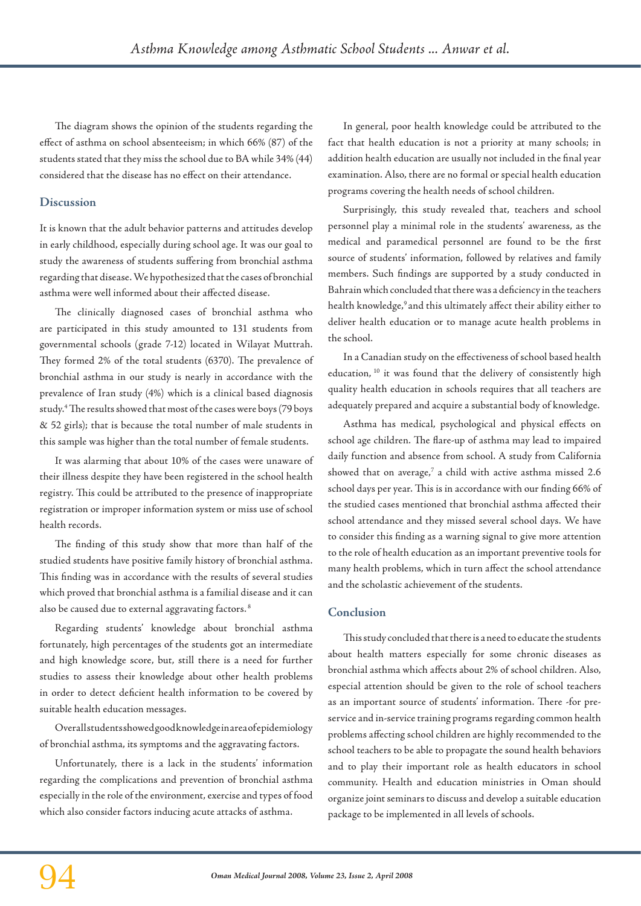The diagram shows the opinion of the students regarding the effect of asthma on school absenteeism; in which 66% (87) of the students stated that they miss the school due to BA while 34% (44) considered that the disease has no effect on their attendance.

## **Discussion**

It is known that the adult behavior patterns and attitudes develop in early childhood, especially during school age. It was our goal to study the awareness of students suffering from bronchial asthma regarding that disease. We hypothesized that the cases of bronchial asthma were well informed about their affected disease.

The clinically diagnosed cases of bronchial asthma who are participated in this study amounted to 131 students from governmental schools (grade 7-12) located in Wilayat Muttrah. They formed 2% of the total students (6370). The prevalence of bronchial asthma in our study is nearly in accordance with the prevalence of Iran study (4%) which is a clinical based diagnosis study.4 The results showed that most of the cases were boys (79 boys & 52 girls); that is because the total number of male students in this sample was higher than the total number of female students.

It was alarming that about 10% of the cases were unaware of their illness despite they have been registered in the school health registry. This could be attributed to the presence of inappropriate registration or improper information system or miss use of school health records.

The finding of this study show that more than half of the studied students have positive family history of bronchial asthma. This finding was in accordance with the results of several studies which proved that bronchial asthma is a familial disease and it can also be caused due to external aggravating factors. 8

Regarding students' knowledge about bronchial asthma fortunately, high percentages of the students got an intermediate and high knowledge score, but, still there is a need for further studies to assess their knowledge about other health problems in order to detect deficient health information to be covered by suitable health education messages.

Overall students showed good knowledge in area of epidemiology of bronchial asthma, its symptoms and the aggravating factors.

Unfortunately, there is a lack in the students' information regarding the complications and prevention of bronchial asthma especially in the role of the environment, exercise and types of food which also consider factors inducing acute attacks of asthma.

In general, poor health knowledge could be attributed to the fact that health education is not a priority at many schools; in addition health education are usually not included in the final year examination. Also, there are no formal or special health education programs covering the health needs of school children.

Surprisingly, this study revealed that, teachers and school personnel play a minimal role in the students' awareness, as the medical and paramedical personnel are found to be the first source of students' information, followed by relatives and family members. Such findings are supported by a study conducted in Bahrain which concluded that there was a deficiency in the teachers health knowledge,<sup>9</sup> and this ultimately affect their ability either to deliver health education or to manage acute health problems in the school.

In a Canadian study on the effectiveness of school based health education, 10 it was found that the delivery of consistently high quality health education in schools requires that all teachers are adequately prepared and acquire a substantial body of knowledge.

Asthma has medical, psychological and physical effects on school age children. The flare-up of asthma may lead to impaired daily function and absence from school. A study from California showed that on average, $7$  a child with active asthma missed 2.6 school days per year. This is in accordance with our finding 66% of the studied cases mentioned that bronchial asthma affected their school attendance and they missed several school days. We have to consider this finding as a warning signal to give more attention to the role of health education as an important preventive tools for many health problems, which in turn affect the school attendance and the scholastic achievement of the students.

# **Conclusion**

This study concluded that there is a need to educate the students about health matters especially for some chronic diseases as bronchial asthma which affects about 2% of school children. Also, especial attention should be given to the role of school teachers as an important source of students' information. There -for preservice and in-service training programs regarding common health problems affecting school children are highly recommended to the school teachers to be able to propagate the sound health behaviors and to play their important role as health educators in school community. Health and education ministries in Oman should organize joint seminars to discuss and develop a suitable education package to be implemented in all levels of schools.